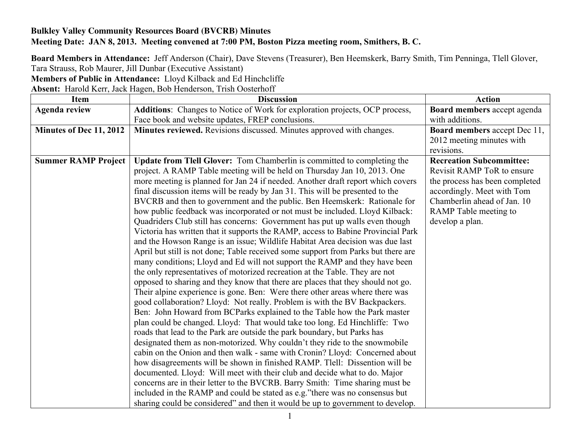## **Bulkley Valley Community Resources Board (BVCRB) Minutes Meeting Date: JAN 8, 2013. Meeting convened at 7:00 PM, Boston Pizza meeting room, Smithers, B. C.**

**Board Members in Attendance:** Jeff Anderson (Chair), Dave Stevens (Treasurer), Ben Heemskerk, Barry Smith, Tim Penninga, Tlell Glover, Tara Strauss, Rob Maurer, Jill Dunbar (Executive Assistant)

**Members of Public in Attendance:** Lloyd Kilback and Ed Hinchcliffe

**Absent:** Harold Kerr, Jack Hagen, Bob Henderson, Trish Oosterhoff

| <b>Item</b>                | <b>Discussion</b>                                                                 | <b>Action</b>                       |
|----------------------------|-----------------------------------------------------------------------------------|-------------------------------------|
| <b>Agenda review</b>       | Additions: Changes to Notice of Work for exploration projects, OCP process,       | Board members accept agenda         |
|                            | Face book and website updates, FREP conclusions.                                  | with additions.                     |
| Minutes of Dec 11, 2012    | Minutes reviewed. Revisions discussed. Minutes approved with changes.             | <b>Board members accept Dec 11,</b> |
|                            |                                                                                   | 2012 meeting minutes with           |
|                            |                                                                                   | revisions.                          |
| <b>Summer RAMP Project</b> | Update from Tlell Glover: Tom Chamberlin is committed to completing the           | <b>Recreation Subcommittee:</b>     |
|                            | project. A RAMP Table meeting will be held on Thursday Jan 10, 2013. One          | Revisit RAMP ToR to ensure          |
|                            | more meeting is planned for Jan 24 if needed. Another draft report which covers   | the process has been completed      |
|                            | final discussion items will be ready by Jan 31. This will be presented to the     | accordingly. Meet with Tom          |
|                            | BVCRB and then to government and the public. Ben Heemskerk: Rationale for         | Chamberlin ahead of Jan. 10         |
|                            | how public feedback was incorporated or not must be included. Lloyd Kilback:      | RAMP Table meeting to               |
|                            | Quadriders Club still has concerns: Government has put up walls even though       | develop a plan.                     |
|                            | Victoria has written that it supports the RAMP, access to Babine Provincial Park  |                                     |
|                            | and the Howson Range is an issue; Wildlife Habitat Area decision was due last     |                                     |
|                            | April but still is not done; Table received some support from Parks but there are |                                     |
|                            | many conditions; Lloyd and Ed will not support the RAMP and they have been        |                                     |
|                            | the only representatives of motorized recreation at the Table. They are not       |                                     |
|                            | opposed to sharing and they know that there are places that they should not go.   |                                     |
|                            | Their alpine experience is gone. Ben: Were there other areas where there was      |                                     |
|                            | good collaboration? Lloyd: Not really. Problem is with the BV Backpackers.        |                                     |
|                            | Ben: John Howard from BCParks explained to the Table how the Park master          |                                     |
|                            | plan could be changed. Lloyd: That would take too long. Ed Hinchliffe: Two        |                                     |
|                            | roads that lead to the Park are outside the park boundary, but Parks has          |                                     |
|                            | designated them as non-motorized. Why couldn't they ride to the snowmobile        |                                     |
|                            | cabin on the Onion and then walk - same with Cronin? Lloyd: Concerned about       |                                     |
|                            | how disagreements will be shown in finished RAMP. Tlell: Dissention will be       |                                     |
|                            | documented. Lloyd: Will meet with their club and decide what to do. Major         |                                     |
|                            | concerns are in their letter to the BVCRB. Barry Smith: Time sharing must be      |                                     |
|                            | included in the RAMP and could be stated as e.g." there was no consensus but      |                                     |
|                            | sharing could be considered" and then it would be up to government to develop.    |                                     |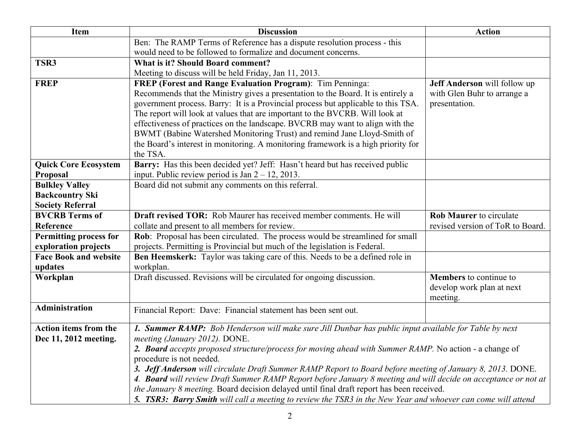| <b>Item</b>                   | <b>Discussion</b>                                                                                              | <b>Action</b>                    |  |
|-------------------------------|----------------------------------------------------------------------------------------------------------------|----------------------------------|--|
|                               | Ben: The RAMP Terms of Reference has a dispute resolution process - this                                       |                                  |  |
|                               | would need to be followed to formalize and document concerns.                                                  |                                  |  |
| TSR3                          | <b>What is it? Should Board comment?</b>                                                                       |                                  |  |
|                               | Meeting to discuss will be held Friday, Jan 11, 2013.                                                          |                                  |  |
| <b>FREP</b>                   | <b>FREP</b> (Forest and Range Evaluation Program): Tim Penninga:                                               | Jeff Anderson will follow up     |  |
|                               | Recommends that the Ministry gives a presentation to the Board. It is entirely a                               | with Glen Buhr to arrange a      |  |
|                               | government process. Barry: It is a Provincial process but applicable to this TSA.                              | presentation.                    |  |
|                               | The report will look at values that are important to the BVCRB. Will look at                                   |                                  |  |
|                               | effectiveness of practices on the landscape. BVCRB may want to align with the                                  |                                  |  |
|                               | BWMT (Babine Watershed Monitoring Trust) and remind Jane Lloyd-Smith of                                        |                                  |  |
|                               | the Board's interest in monitoring. A monitoring framework is a high priority for                              |                                  |  |
| <b>Quick Core Ecosystem</b>   | the TSA.<br>Barry: Has this been decided yet? Jeff: Hasn't heard but has received public                       |                                  |  |
| Proposal                      | input. Public review period is Jan $2 - 12$ , 2013.                                                            |                                  |  |
| <b>Bulkley Valley</b>         | Board did not submit any comments on this referral.                                                            |                                  |  |
| <b>Backcountry Ski</b>        |                                                                                                                |                                  |  |
| <b>Society Referral</b>       |                                                                                                                |                                  |  |
| <b>BVCRB</b> Terms of         | <b>Draft revised TOR:</b> Rob Maurer has received member comments. He will                                     | <b>Rob Maurer</b> to circulate   |  |
| Reference                     | collate and present to all members for review.                                                                 | revised version of ToR to Board. |  |
| <b>Permitting process for</b> | Rob: Proposal has been circulated. The process would be streamlined for small                                  |                                  |  |
| exploration projects          | projects. Permitting is Provincial but much of the legislation is Federal.                                     |                                  |  |
| <b>Face Book and website</b>  | Ben Heemskerk: Taylor was taking care of this. Needs to be a defined role in                                   |                                  |  |
| updates                       | workplan.                                                                                                      |                                  |  |
| Workplan                      | Draft discussed. Revisions will be circulated for ongoing discussion.                                          | <b>Members</b> to continue to    |  |
|                               |                                                                                                                | develop work plan at next        |  |
|                               |                                                                                                                | meeting.                         |  |
| <b>Administration</b>         | Financial Report: Dave: Financial statement has been sent out.                                                 |                                  |  |
| <b>Action items from the</b>  | 1. Summer RAMP: Bob Henderson will make sure Jill Dunbar has public input available for Table by next          |                                  |  |
| Dec 11, 2012 meeting.         | meeting (January 2012). DONE.                                                                                  |                                  |  |
|                               | 2. Board accepts proposed structure/process for moving ahead with Summer RAMP. No action - a change of         |                                  |  |
|                               | procedure is not needed.                                                                                       |                                  |  |
|                               | 3. Jeff Anderson will circulate Draft Summer RAMP Report to Board before meeting of January 8, 2013. DONE.     |                                  |  |
|                               | 4. Board will review Draft Summer RAMP Report before January 8 meeting and will decide on acceptance or not at |                                  |  |
|                               | the January 8 meeting. Board decision delayed until final draft report has been received.                      |                                  |  |
|                               | 5. TSR3: Barry Smith will call a meeting to review the TSR3 in the New Year and whoever can come will attend   |                                  |  |